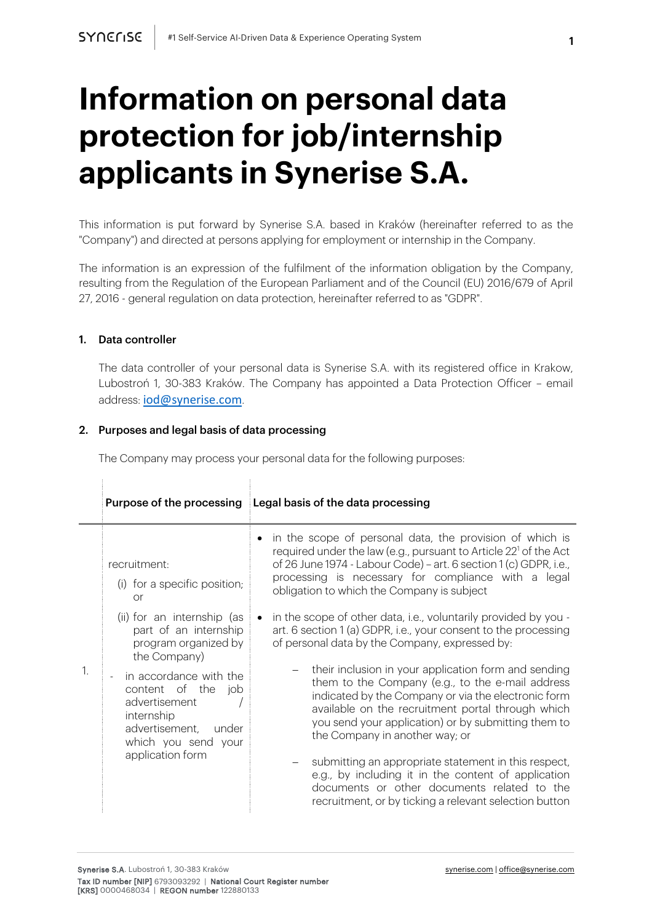# **Information on personal data protection for job/internship applicants in Synerise S.A.**

This information is put forward by Synerise S.A. based in Kraków (hereinafter referred to as the "Company") and directed at persons applying for employment or internship in the Company.

The information is an expression of the fulfilment of the information obligation by the Company, resulting from the Regulation of the European Parliament and of the Council (EU) 2016/679 of April 27, 2016 - general regulation on data protection, hereinafter referred to as "GDPR".

#### 1. Data controller

The data controller of your personal data is Synerise S.A. with its registered office in Krakow, Lubostroń 1, 30-383 Kraków. The Company has appointed a Data Protection Officer – email address: iod@synerise.com.

#### 2. Purposes and legal basis of data processing

The Company may process your personal data for the following purposes:

|              | Purpose of the processing                                                                                                                            | Legal basis of the data processing                                                                                                                                                                                                                                                                                 |
|--------------|------------------------------------------------------------------------------------------------------------------------------------------------------|--------------------------------------------------------------------------------------------------------------------------------------------------------------------------------------------------------------------------------------------------------------------------------------------------------------------|
| $\mathbf{1}$ | recruitment:<br>(i) for a specific position;<br>or                                                                                                   | in the scope of personal data, the provision of which is<br>required under the law (e.g., pursuant to Article 22 <sup>1</sup> of the Act<br>of 26 June 1974 - Labour Code) - art. 6 section 1 (c) GDPR, i.e.,<br>processing is necessary for compliance with a legal<br>obligation to which the Company is subject |
|              | (ii) for an internship (as<br>part of an internship<br>program organized by<br>the Company)                                                          | in the scope of other data, i.e., voluntarily provided by you -<br>art. 6 section 1 (a) GDPR, i.e., your consent to the processing<br>of personal data by the Company, expressed by:                                                                                                                               |
|              | in accordance with the<br>content of the<br>job<br>advertisement<br>internship<br>advertisement,<br>under<br>which you send your<br>application form | their inclusion in your application form and sending<br>them to the Company (e.g., to the e-mail address<br>indicated by the Company or via the electronic form<br>available on the recruitment portal through which<br>you send your application) or by submitting them to<br>the Company in another way; or      |
|              |                                                                                                                                                      | submitting an appropriate statement in this respect,<br>e.g., by including it in the content of application<br>documents or other documents related to the<br>recruitment, or by ticking a relevant selection button                                                                                               |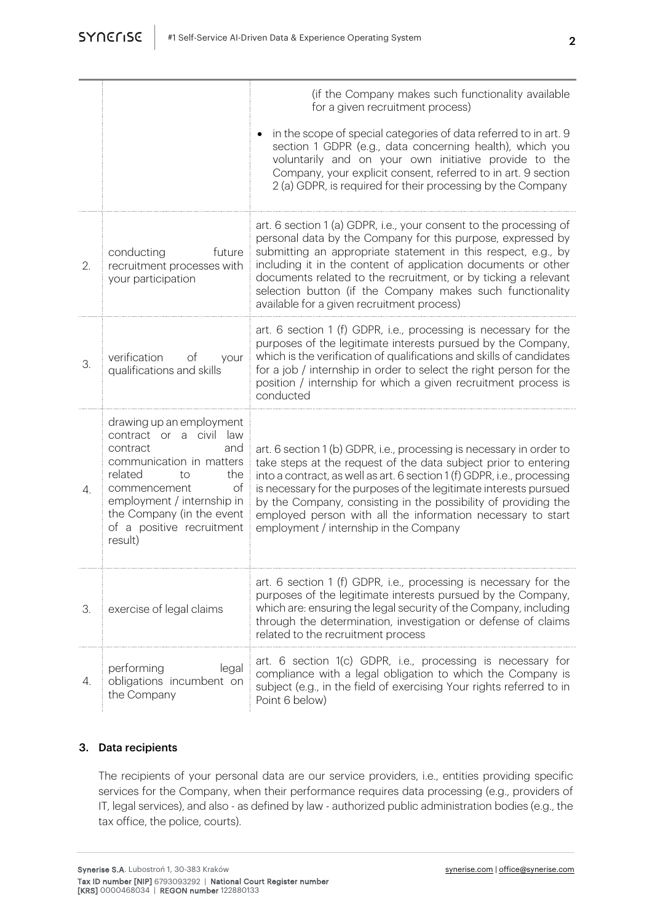| -<br>ł       |
|--------------|
| I<br>۰,<br>v |
|              |
|              |

|                       |                                                                                                                                                                                                                                                     | (if the Company makes such functionality available<br>for a given recruitment process)                                                                                                                                                                                                                                                                                                                                                                             |
|-----------------------|-----------------------------------------------------------------------------------------------------------------------------------------------------------------------------------------------------------------------------------------------------|--------------------------------------------------------------------------------------------------------------------------------------------------------------------------------------------------------------------------------------------------------------------------------------------------------------------------------------------------------------------------------------------------------------------------------------------------------------------|
|                       |                                                                                                                                                                                                                                                     | in the scope of special categories of data referred to in art. 9<br>section 1 GDPR (e.g., data concerning health), which you<br>voluntarily and on your own initiative provide to the<br>Company, your explicit consent, referred to in art. 9 section<br>2 (a) GDPR, is required for their processing by the Company                                                                                                                                              |
| 2.                    | conducting<br>future<br>recruitment processes with<br>your participation                                                                                                                                                                            | art. 6 section 1 (a) GDPR, i.e., your consent to the processing of<br>personal data by the Company for this purpose, expressed by<br>submitting an appropriate statement in this respect, e.g., by<br>including it in the content of application documents or other<br>documents related to the recruitment, or by ticking a relevant<br>selection button (if the Company makes such functionality<br>available for a given recruitment process)                   |
| 3.                    | verification<br>оf<br>your<br>qualifications and skills                                                                                                                                                                                             | art. 6 section 1 (f) GDPR, i.e., processing is necessary for the<br>purposes of the legitimate interests pursued by the Company,<br>which is the verification of qualifications and skills of candidates<br>for a job / internship in order to select the right person for the<br>position / internship for which a given recruitment process is<br>conducted                                                                                                      |
| $\mathcal{A}_{\cdot}$ | drawing up an employment<br>contract or a civil law<br>and<br>contract<br>communication in matters<br>related<br>the<br>to<br>оf<br>commencement<br>employment / internship in<br>the Company (in the event<br>of a positive recruitment<br>result) | art. 6 section 1 (b) GDPR, i.e., processing is necessary in order to<br>take steps at the request of the data subject prior to entering<br>into a contract, as well as art. 6 section 1 (f) GDPR, i.e., processing<br>is necessary for the purposes of the legitimate interests pursued<br>by the Company, consisting in the possibility of providing the<br>employed person with all the information necessary to start<br>employment / internship in the Company |
| 3.                    | exercise of legal claims                                                                                                                                                                                                                            | art. 6 section 1 (f) GDPR, i.e., processing is necessary for the<br>purposes of the legitimate interests pursued by the Company,<br>which are: ensuring the legal security of the Company, including<br>through the determination, investigation or defense of claims<br>related to the recruitment process                                                                                                                                                        |
| 4.                    | performing<br>legal<br>obligations incumbent on<br>the Company                                                                                                                                                                                      | art. 6 section 1(c) GDPR, i.e., processing is necessary for<br>compliance with a legal obligation to which the Company is<br>subject (e.g., in the field of exercising Your rights referred to in<br>Point 6 below)                                                                                                                                                                                                                                                |

## 3. Data recipients

The recipients of your personal data are our service providers, i.e., entities providing specific services for the Company, when their performance requires data processing (e.g., providers of IT, legal services), and also - as defined by law - authorized public administration bodies (e.g., the tax office, the police, courts).